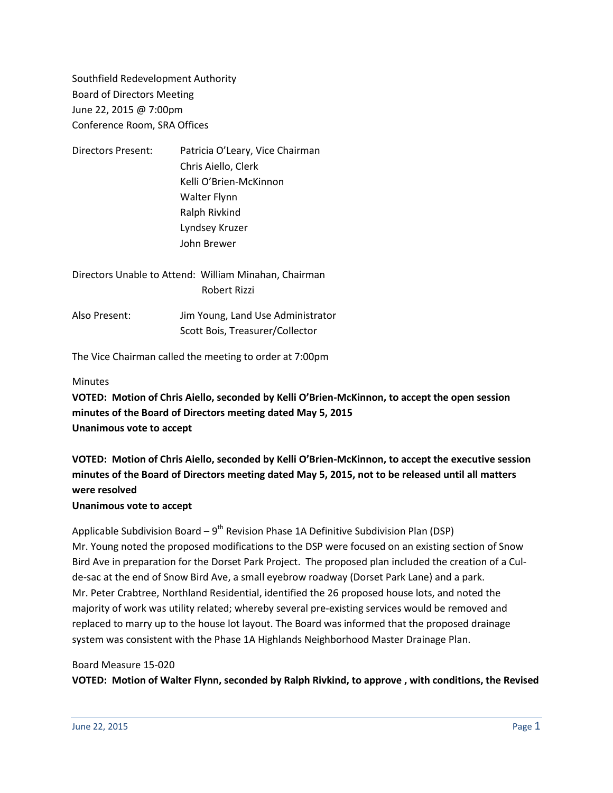Southfield Redevelopment Authority Board of Directors Meeting June 22, 2015 @ 7:00pm Conference Room, SRA Offices

| <b>Directors Present:</b> | Patricia O'Leary, Vice Chairman |
|---------------------------|---------------------------------|
|                           | Chris Aiello, Clerk             |
|                           | Kelli O'Brien-McKinnon          |
|                           | <b>Walter Flynn</b>             |
|                           | Ralph Rivkind                   |
|                           | Lyndsey Kruzer                  |
|                           | John Brewer                     |
|                           |                                 |

Directors Unable to Attend: William Minahan, Chairman Robert Rizzi

Also Present: Jim Young, Land Use Administrator Scott Bois, Treasurer/Collector

The Vice Chairman called the meeting to order at 7:00pm

#### **Minutes**

**VOTED: Motion of Chris Aiello, seconded by Kelli O'Brien-McKinnon, to accept the open session minutes of the Board of Directors meeting dated May 5, 2015 Unanimous vote to accept**

**VOTED: Motion of Chris Aiello, seconded by Kelli O'Brien-McKinnon, to accept the executive session minutes of the Board of Directors meeting dated May 5, 2015, not to be released until all matters were resolved**

#### **Unanimous vote to accept**

Applicable Subdivision Board – 9<sup>th</sup> Revision Phase 1A Definitive Subdivision Plan (DSP) Mr. Young noted the proposed modifications to the DSP were focused on an existing section of Snow Bird Ave in preparation for the Dorset Park Project. The proposed plan included the creation of a Culde-sac at the end of Snow Bird Ave, a small eyebrow roadway (Dorset Park Lane) and a park. Mr. Peter Crabtree, Northland Residential, identified the 26 proposed house lots, and noted the majority of work was utility related; whereby several pre-existing services would be removed and replaced to marry up to the house lot layout. The Board was informed that the proposed drainage system was consistent with the Phase 1A Highlands Neighborhood Master Drainage Plan.

#### Board Measure 15-020

**VOTED: Motion of Walter Flynn, seconded by Ralph Rivkind, to approve , with conditions, the Revised**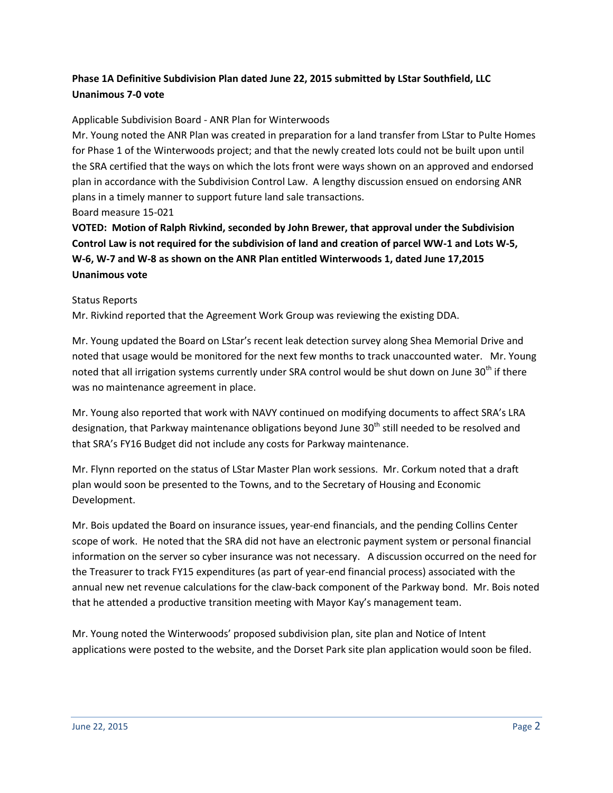# **Phase 1A Definitive Subdivision Plan dated June 22, 2015 submitted by LStar Southfield, LLC Unanimous 7-0 vote**

## Applicable Subdivision Board - ANR Plan for Winterwoods

Mr. Young noted the ANR Plan was created in preparation for a land transfer from LStar to Pulte Homes for Phase 1 of the Winterwoods project; and that the newly created lots could not be built upon until the SRA certified that the ways on which the lots front were ways shown on an approved and endorsed plan in accordance with the Subdivision Control Law. A lengthy discussion ensued on endorsing ANR plans in a timely manner to support future land sale transactions. Board measure 15-021

**VOTED: Motion of Ralph Rivkind, seconded by John Brewer, that approval under the Subdivision Control Law is not required for the subdivision of land and creation of parcel WW-1 and Lots W-5, W-6, W-7 and W-8 as shown on the ANR Plan entitled Winterwoods 1, dated June 17,2015 Unanimous vote**

#### Status Reports

Mr. Rivkind reported that the Agreement Work Group was reviewing the existing DDA.

Mr. Young updated the Board on LStar's recent leak detection survey along Shea Memorial Drive and noted that usage would be monitored for the next few months to track unaccounted water. Mr. Young noted that all irrigation systems currently under SRA control would be shut down on June 30<sup>th</sup> if there was no maintenance agreement in place.

Mr. Young also reported that work with NAVY continued on modifying documents to affect SRA's LRA designation, that Parkway maintenance obligations beyond June  $30<sup>th</sup>$  still needed to be resolved and that SRA's FY16 Budget did not include any costs for Parkway maintenance.

Mr. Flynn reported on the status of LStar Master Plan work sessions. Mr. Corkum noted that a draft plan would soon be presented to the Towns, and to the Secretary of Housing and Economic Development.

Mr. Bois updated the Board on insurance issues, year-end financials, and the pending Collins Center scope of work. He noted that the SRA did not have an electronic payment system or personal financial information on the server so cyber insurance was not necessary. A discussion occurred on the need for the Treasurer to track FY15 expenditures (as part of year-end financial process) associated with the annual new net revenue calculations for the claw-back component of the Parkway bond. Mr. Bois noted that he attended a productive transition meeting with Mayor Kay's management team.

Mr. Young noted the Winterwoods' proposed subdivision plan, site plan and Notice of Intent applications were posted to the website, and the Dorset Park site plan application would soon be filed.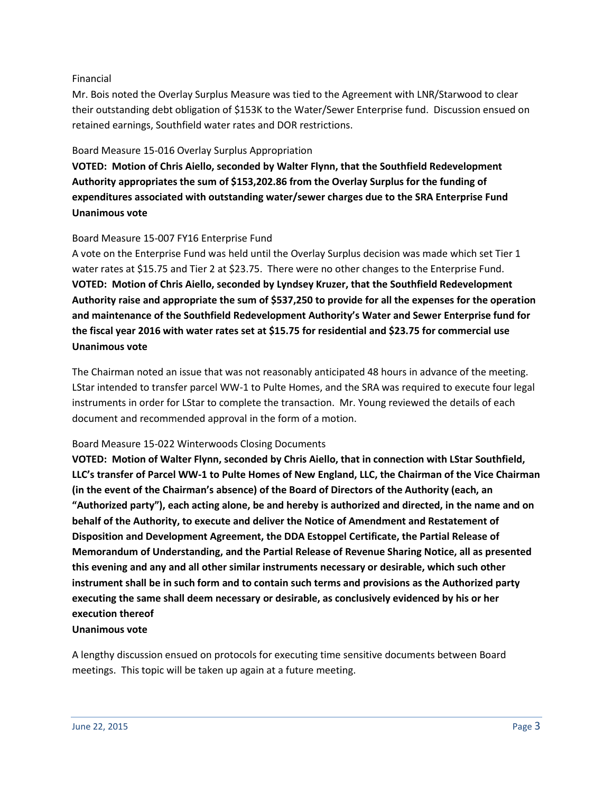#### Financial

Mr. Bois noted the Overlay Surplus Measure was tied to the Agreement with LNR/Starwood to clear their outstanding debt obligation of \$153K to the Water/Sewer Enterprise fund. Discussion ensued on retained earnings, Southfield water rates and DOR restrictions.

#### Board Measure 15-016 Overlay Surplus Appropriation

**VOTED: Motion of Chris Aiello, seconded by Walter Flynn, that the Southfield Redevelopment Authority appropriates the sum of \$153,202.86 from the Overlay Surplus for the funding of expenditures associated with outstanding water/sewer charges due to the SRA Enterprise Fund Unanimous vote**

### Board Measure 15-007 FY16 Enterprise Fund

A vote on the Enterprise Fund was held until the Overlay Surplus decision was made which set Tier 1 water rates at \$15.75 and Tier 2 at \$23.75. There were no other changes to the Enterprise Fund. **VOTED: Motion of Chris Aiello, seconded by Lyndsey Kruzer, that the Southfield Redevelopment Authority raise and appropriate the sum of \$537,250 to provide for all the expenses for the operation and maintenance of the Southfield Redevelopment Authority's Water and Sewer Enterprise fund for the fiscal year 2016 with water rates set at \$15.75 for residential and \$23.75 for commercial use Unanimous vote**

The Chairman noted an issue that was not reasonably anticipated 48 hours in advance of the meeting. LStar intended to transfer parcel WW-1 to Pulte Homes, and the SRA was required to execute four legal instruments in order for LStar to complete the transaction. Mr. Young reviewed the details of each document and recommended approval in the form of a motion.

#### Board Measure 15-022 Winterwoods Closing Documents

**VOTED: Motion of Walter Flynn, seconded by Chris Aiello, that in connection with LStar Southfield, LLC's transfer of Parcel WW-1 to Pulte Homes of New England, LLC, the Chairman of the Vice Chairman (in the event of the Chairman's absence) of the Board of Directors of the Authority (each, an "Authorized party"), each acting alone, be and hereby is authorized and directed, in the name and on behalf of the Authority, to execute and deliver the Notice of Amendment and Restatement of Disposition and Development Agreement, the DDA Estoppel Certificate, the Partial Release of Memorandum of Understanding, and the Partial Release of Revenue Sharing Notice, all as presented this evening and any and all other similar instruments necessary or desirable, which such other instrument shall be in such form and to contain such terms and provisions as the Authorized party executing the same shall deem necessary or desirable, as conclusively evidenced by his or her execution thereof**

#### **Unanimous vote**

A lengthy discussion ensued on protocols for executing time sensitive documents between Board meetings. This topic will be taken up again at a future meeting.